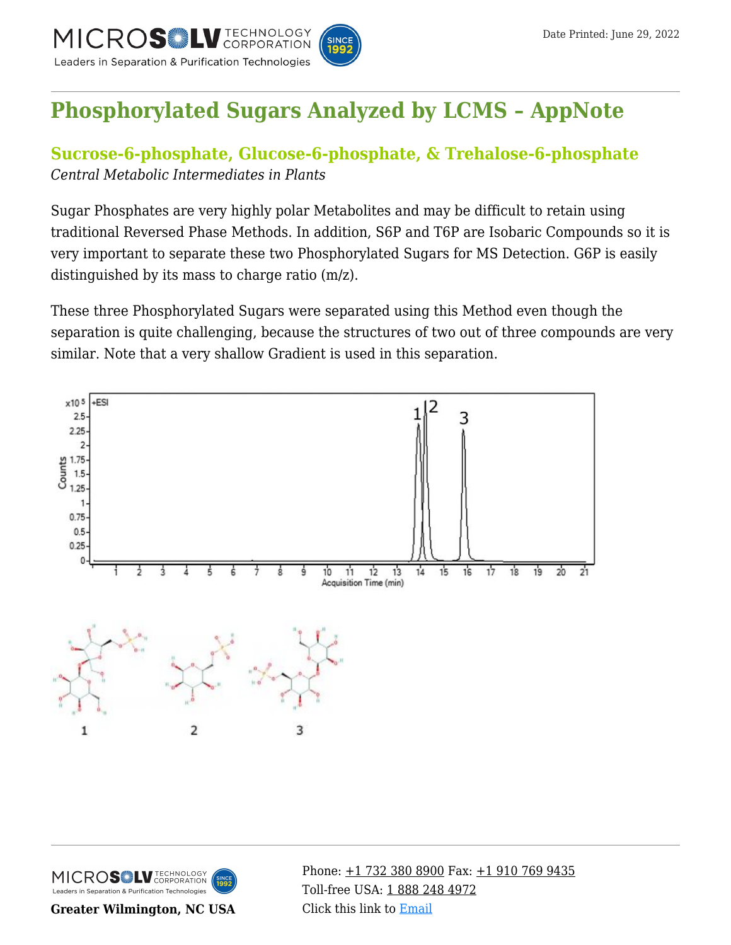TECHNOLOGY<br>CORPORATION EROSIL Leaders in Separation & Purification Technologies



# **[Phosphorylated Sugars Analyzed by LCMS – AppNote](https://kb.mtc-usa.com/article/aa-02222/46/)**

## **Sucrose-6-phosphate, Glucose-6-phosphate, & Trehalose-6-phosphate** *Central Metabolic Intermediates in Plants*

Sugar Phosphates are very highly polar Metabolites and may be difficult to retain using traditional Reversed Phase Methods. In addition, S6P and T6P are Isobaric Compounds so it is very important to separate these two Phosphorylated Sugars for MS Detection. G6P is easily distinguished by its mass to charge ratio (m/z).

These three Phosphorylated Sugars were separated using this Method even though the separation is quite challenging, because the structures of two out of three compounds are very similar. Note that a very shallow Gradient is used in this separation.





**Greater Wilmington, NC USA**

Phone:  $\pm$ 1 732 380 8900 Fax:  $\pm$ 1 910 769 9435 Toll-free USA: [1 888 248 4972](#page--1-0) Click this link to [Email](https://www.mtc-usa.com/contact)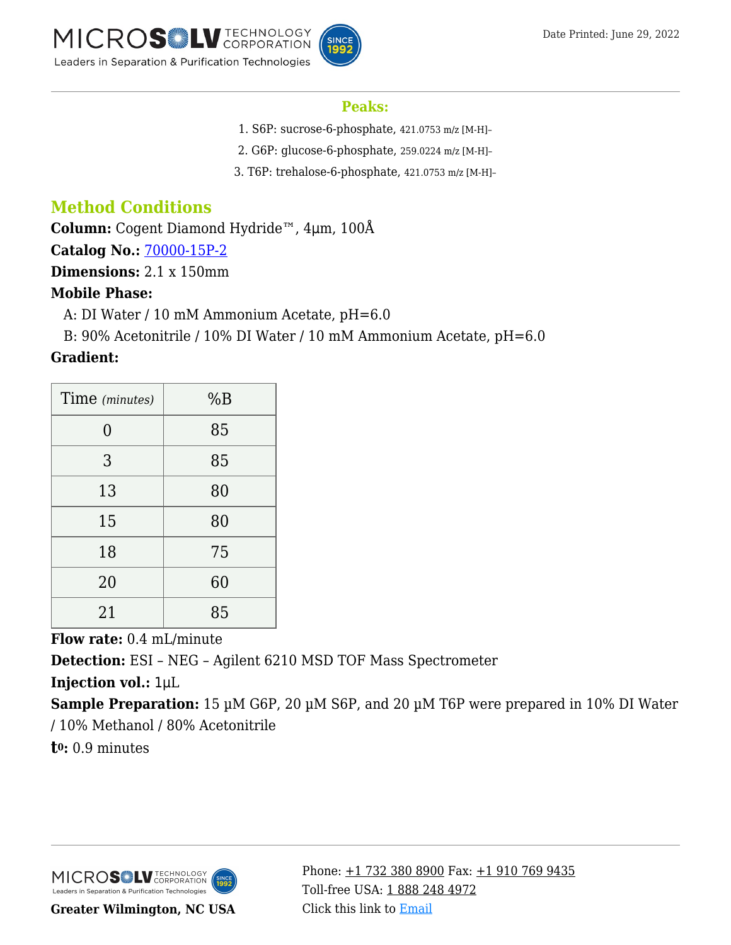

#### **Peaks:**

- 1. S6P: sucrose-6-phosphate, 421.0753 m/z [M-H]–
- 2. G6P: glucose-6-phosphate, 259.0224 m/z [M-H]–
- 3. T6P: trehalose-6-phosphate, 421.0753 m/z [M-H]–

# **Method Conditions**

**Column:** Cogent Diamond Hydride™, 4μm, 100Å

**Catalog No.:** [70000-15P-2](https://www.mtc-usa.com/product-details/id/4115801)

**Dimensions:** 2.1 x 150mm

### **Mobile Phase:**

—A: DI Water / 10 mM Ammonium Acetate, pH=6.0

B: 90% Acetonitrile / 10% DI Water / 10 mM Ammonium Acetate, pH=6.0

### **Gradient:**

| Time (minutes) | %B |
|----------------|----|
| 0              | 85 |
| 3              | 85 |
| 13             | 80 |
| 15             | 80 |
| 18             | 75 |
| 20             | 60 |
| 21             | 85 |

**Flow rate:** 0.4 mL/minute

**Detection:** ESI – NEG – Agilent 6210 MSD TOF Mass Spectrometer

**Injection vol.:** 1μL

**Sample Preparation:** 15 µM G6P, 20 µM S6P, and 20 µM T6P were prepared in 10% DI Water / 10% Methanol / 80% Acetonitrile

**t0:** 0.9 minutes